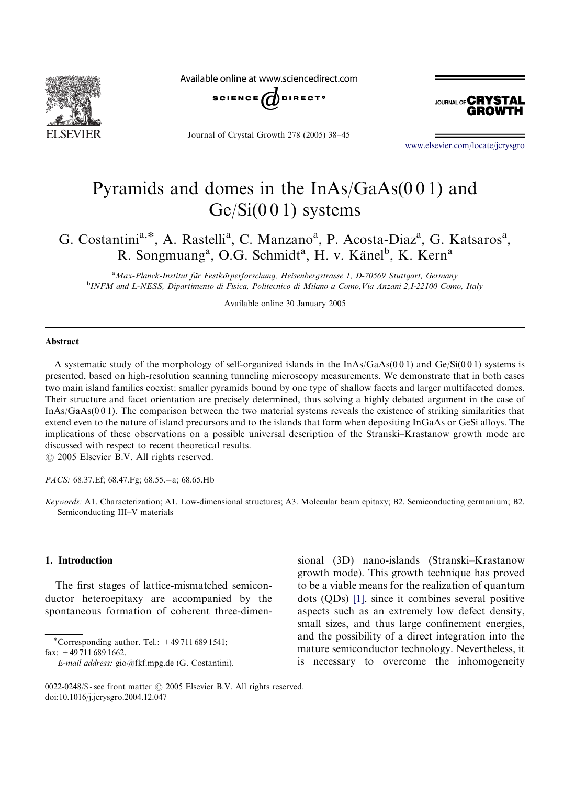

Available online at www.sciencedirect.com



Journal of Crystal Growth 278 (2005) 38–45



<www.elsevier.com/locate/jcrysgro>

# Pyramids and domes in the InAs/GaAs(0 0 1) and  $Ge/Si(001)$  systems

G. Costantini<sup>a,\*</sup>, A. Rastelli<sup>a</sup>, C. Manzano<sup>a</sup>, P. Acosta-Diaz<sup>a</sup>, G. Katsaros<sup>a</sup>, R. Songmuang<sup>a</sup>, O.G. Schmidt<sup>a</sup>, H. v. Känel<sup>b</sup>, K. Kern<sup>a</sup>

<sup>a</sup> Max-Planck-Institut für Festkörperforschung, Heisenbergstrasse 1, D-70569 Stuttgart, Germany<br><sup>b</sup>INEM and I NESS, Dipartimente di Fisica, Bolitecnice di Milane a Come Via Anzani 2,1,22100 Come <sup>b</sup>INFM and L-NESS, Dipartimento di Fisica, Politecnico di Milano a Como, Via Anzani 2,I-22100 Como, Italy

Available online 30 January 2005

## Abstract

A systematic study of the morphology of self-organized islands in the InAs/GaAs(0 0 1) and Ge/Si(0 0 1) systems is presented, based on high-resolution scanning tunneling microscopy measurements. We demonstrate that in both cases two main island families coexist: smaller pyramids bound by one type of shallow facets and larger multifaceted domes. Their structure and facet orientation are precisely determined, thus solving a highly debated argument in the case of InAs/GaAs(0 0 1). The comparison between the two material systems reveals the existence of striking similarities that extend even to the nature of island precursors and to the islands that form when depositing InGaAs or GeSi alloys. The implications of these observations on a possible universal description of the Stranski–Krastanow growth mode are discussed with respect to recent theoretical results.

 $\odot$  2005 Elsevier B.V. All rights reserved.

PACS: 68.37.Ef; 68.47.Fg; 68.55.-a; 68.65.Hb

Keywords: A1. Characterization; A1. Low-dimensional structures; A3. Molecular beam epitaxy; B2. Semiconducting germanium; B2. Semiconducting III–V materials

#### 1. Introduction

The first stages of lattice-mismatched semiconductor heteroepitaxy are accompanied by the spontaneous formation of coherent three-dimen-

\*Corresponding author. Tel.:  $+497116891541$ ; fax: +49 711 689 1662.

sional (3D) nano-islands (Stranski–Krastanow growth mode). This growth technique has proved to be a viable means for the realization of quantum dots (QDs) [\[1\],](#page-6-0) since it combines several positive aspects such as an extremely low defect density, small sizes, and thus large confinement energies, and the possibility of a direct integration into the mature semiconductor technology. Nevertheless, it is necessary to overcome the inhomogeneity

E-mail address: gio@fkf.mpg.de (G. Costantini).

<sup>0022-0248/\$ -</sup> see front matter  $\odot$  2005 Elsevier B.V. All rights reserved. doi:10.1016/j.jcrysgro.2004.12.047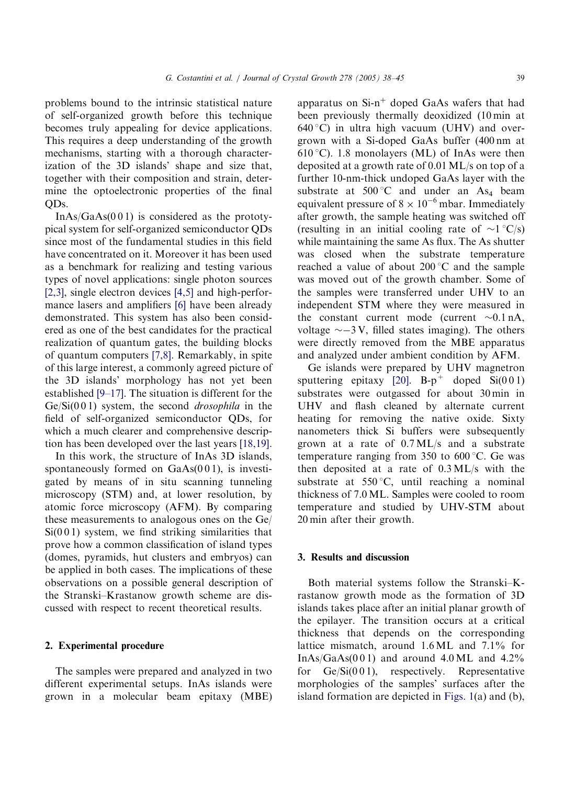problems bound to the intrinsic statistical nature of self-organized growth before this technique becomes truly appealing for device applications. This requires a deep understanding of the growth mechanisms, starting with a thorough characterization of the 3D islands' shape and size that, together with their composition and strain, determine the optoelectronic properties of the final OD<sub>s</sub>.

 $InAs/GaAs(001)$  is considered as the prototypical system for self-organized semiconductor QDs since most of the fundamental studies in this field have concentrated on it. Moreover it has been used as a benchmark for realizing and testing various types of novel applications: single photon sources [\[2,3\],](#page-6-0) single electron devices [\[4,5\]](#page-6-0) and high-performance lasers and amplifiers [\[6\]](#page-6-0) have been already demonstrated. This system has also been considered as one of the best candidates for the practical realization of quantum gates, the building blocks of quantum computers [\[7,8\]](#page-6-0). Remarkably, in spite of this large interest, a commonly agreed picture of the 3D islands' morphology has not yet been established [\[9–17\]](#page-6-0). The situation is different for the  $Ge/Si(001)$  system, the second *drosophila* in the field of self-organized semiconductor QDs, for which a much clearer and comprehensive description has been developed over the last years [\[18,19\]](#page-6-0).

In this work, the structure of InAs 3D islands, spontaneously formed on  $GaAs(001)$ , is investigated by means of in situ scanning tunneling microscopy (STM) and, at lower resolution, by atomic force microscopy (AFM). By comparing these measurements to analogous ones on the Ge/  $Si(001)$  system, we find striking similarities that prove how a common classification of island types (domes, pyramids, hut clusters and embryos) can be applied in both cases. The implications of these observations on a possible general description of the Stranski–Krastanow growth scheme are discussed with respect to recent theoretical results.

#### 2. Experimental procedure

The samples were prepared and analyzed in two different experimental setups. InAs islands were grown in a molecular beam epitaxy (MBE) apparatus on  $Si-n^+$  doped GaAs wafers that had been previously thermally deoxidized (10 min at  $640^{\circ}$ C) in ultra high vacuum (UHV) and overgrown with a Si-doped GaAs buffer (400 nm at 610 °C). 1.8 monolayers (ML) of InAs were then deposited at a growth rate of 0.01 ML/s on top of a further 10-nm-thick undoped GaAs layer with the substrate at  $500^{\circ}$ C and under an As<sub>4</sub> beam equivalent pressure of  $8 \times 10^{-6}$  mbar. Immediately after growth, the sample heating was switched off (resulting in an initial cooling rate of  $\sim$ 1 °C/s) while maintaining the same As flux. The As shutter was closed when the substrate temperature reached a value of about  $200\degree C$  and the sample was moved out of the growth chamber. Some of the samples were transferred under UHV to an independent STM where they were measured in the constant current mode (current  $\sim 0.1$  nA, voltage  $\sim$  -3 V, filled states imaging). The others were directly removed from the MBE apparatus and analyzed under ambient condition by AFM.

Ge islands were prepared by UHV magnetron sputtering epitaxy [\[20\]](#page-6-0).  $B-p^+$  doped  $Si(001)$ substrates were outgassed for about 30 min in UHV and flash cleaned by alternate current heating for removing the native oxide. Sixty nanometers thick Si buffers were subsequently grown at a rate of 0.7 ML/s and a substrate temperature ranging from 350 to  $600^{\circ}$ C. Ge was then deposited at a rate of 0.3 ML/s with the substrate at  $550^{\circ}$ C, until reaching a nominal thickness of 7.0 ML. Samples were cooled to room temperature and studied by UHV-STM about 20 min after their growth.

#### 3. Results and discussion

Both material systems follow the Stranski–Krastanow growth mode as the formation of 3D islands takes place after an initial planar growth of the epilayer. The transition occurs at a critical thickness that depends on the corresponding lattice mismatch, around 1.6 ML and 7.1% for InAs/GaAs( $001$ ) and around 4.0 ML and 4.2% for  $Ge/Si(001)$ , respectively. Representative morphologies of the samples' surfaces after the island formation are depicted in [Figs. 1\(](#page-2-0)a) and (b),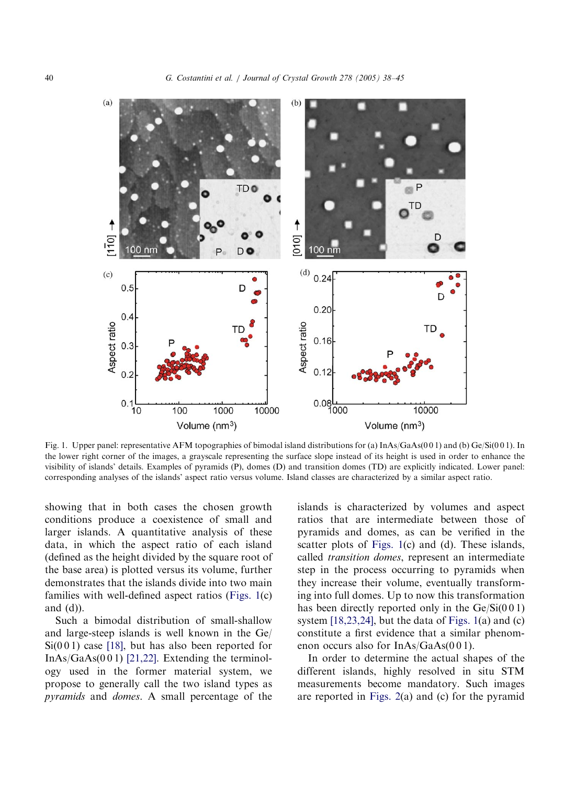<span id="page-2-0"></span>

Fig. 1. Upper panel: representative AFM topographies of bimodal island distributions for (a) InAs/GaAs(0 0 1) and (b) Ge/Si(0 0 1). In the lower right corner of the images, a grayscale representing the surface slope instead of its height is used in order to enhance the visibility of islands' details. Examples of pyramids (P), domes (D) and transition domes (TD) are explicitly indicated. Lower panel: corresponding analyses of the islands' aspect ratio versus volume. Island classes are characterized by a similar aspect ratio.

showing that in both cases the chosen growth conditions produce a coexistence of small and larger islands. A quantitative analysis of these data, in which the aspect ratio of each island (defined as the height divided by the square root of the base area) is plotted versus its volume, further demonstrates that the islands divide into two main families with well-defined aspect ratios (Figs. 1(c) and  $(d)$ ).

Such a bimodal distribution of small-shallow and large-steep islands is well known in the Ge/  $Si(001)$  case [\[18\],](#page-6-0) but has also been reported for InAs/GaAs $(0 0 1)$  [\[21,22\]](#page-6-0). Extending the terminology used in the former material system, we propose to generally call the two island types as pyramids and domes. A small percentage of the islands is characterized by volumes and aspect ratios that are intermediate between those of pyramids and domes, as can be verified in the scatter plots of Figs. 1(c) and (d). These islands, called transition domes, represent an intermediate step in the process occurring to pyramids when they increase their volume, eventually transforming into full domes. Up to now this transformation has been directly reported only in the  $Ge/Si(001)$ system  $[18,23,24]$ , but the data of Figs.  $1(a)$  and  $(c)$ constitute a first evidence that a similar phenomenon occurs also for InAs/GaAs(001).

In order to determine the actual shapes of the different islands, highly resolved in situ STM measurements become mandatory. Such images are reported in [Figs. 2](#page-3-0)(a) and (c) for the pyramid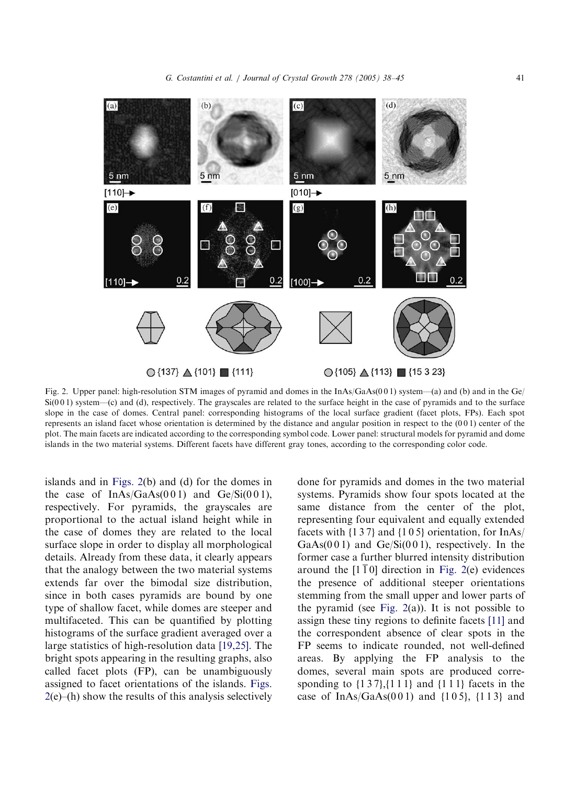<span id="page-3-0"></span>

Fig. 2. Upper panel: high-resolution STM images of pyramid and domes in the InAs/GaAs(001) system—(a) and (b) and in the Ge/  $Si(001)$  system—(c) and (d), respectively. The grayscales are related to the surface height in the case of pyramids and to the surface slope in the case of domes. Central panel: corresponding histograms of the local surface gradient (facet plots, FPs). Each spot represents an island facet whose orientation is determined by the distance and angular position in respect to the (0 0 1) center of the plot. The main facets are indicated according to the corresponding symbol code. Lower panel: structural models for pyramid and dome islands in the two material systems. Different facets have different gray tones, according to the corresponding color code.

islands and in Figs. 2(b) and (d) for the domes in the case of  $InAs/GaAs(001)$  and  $Ge/Si(001)$ , respectively. For pyramids, the grayscales are proportional to the actual island height while in the case of domes they are related to the local surface slope in order to display all morphological details. Already from these data, it clearly appears that the analogy between the two material systems extends far over the bimodal size distribution, since in both cases pyramids are bound by one type of shallow facet, while domes are steeper and multifaceted. This can be quantified by plotting histograms of the surface gradient averaged over a large statistics of high-resolution data [\[19,25\]](#page-6-0). The bright spots appearing in the resulting graphs, also called facet plots (FP), can be unambiguously assigned to facet orientations of the islands. Figs.  $2(e)$ –(h) show the results of this analysis selectively done for pyramids and domes in the two material systems. Pyramids show four spots located at the same distance from the center of the plot, representing four equivalent and equally extended facets with  $\{137\}$  and  $\{105\}$  orientation, for InAs/ GaAs( $001$ ) and Ge/Si( $001$ ), respectively. In the former case a further blurred intensity distribution around the  $[1\overline{1}0]$  direction in Fig. 2(e) evidences the presence of additional steeper orientations stemming from the small upper and lower parts of the pyramid (see Fig. 2(a)). It is not possible to assign these tiny regions to definite facets [\[11\]](#page-6-0) and the correspondent absence of clear spots in the FP seems to indicate rounded, not well-defined areas. By applying the FP analysis to the domes, several main spots are produced corresponding to  $\{1\,3\,7\}, \{1\,1\,1\}$  and  $\{1\,1\,1\}$  facets in the case of  $InAs/GaAs(001)$  and  ${105}$ ,  ${113}$  and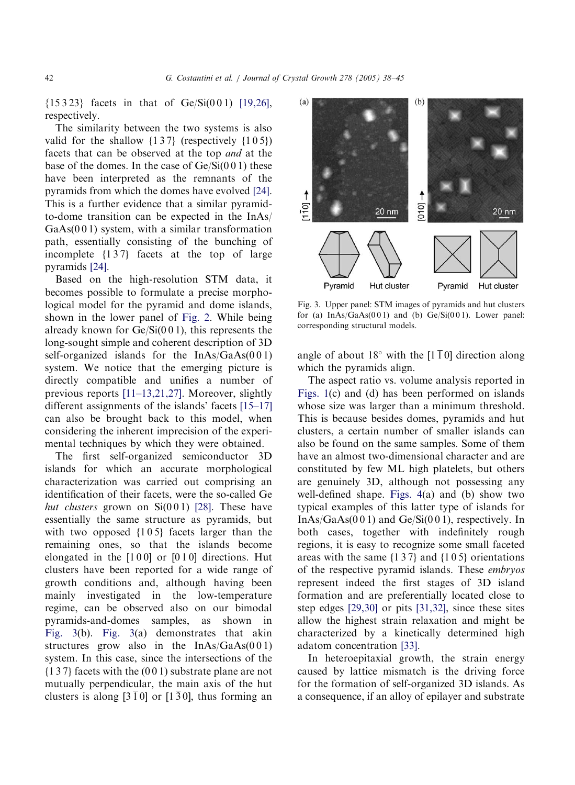${15323}$  facets in that of Ge/Si(001) [\[19,26\]](#page-6-0), respectively.

The similarity between the two systems is also valid for the shallow  $\{137\}$  (respectively  $\{105\}$ ) facets that can be observed at the top and at the base of the domes. In the case of  $Ge/Si(001)$  these have been interpreted as the remnants of the pyramids from which the domes have evolved [\[24\]](#page-6-0). This is a further evidence that a similar pyramidto-dome transition can be expected in the InAs/  $GaAs(001)$  system, with a similar transformation path, essentially consisting of the bunching of incomplete  $\{137\}$  facets at the top of large pyramids [\[24\].](#page-6-0)

Based on the high-resolution STM data, it becomes possible to formulate a precise morphological model for the pyramid and dome islands, shown in the lower panel of [Fig. 2](#page-3-0). While being already known for  $Ge/Si(001)$ , this represents the long-sought simple and coherent description of 3D self-organized islands for the InAs/GaAs(001) system. We notice that the emerging picture is directly compatible and unifies a number of previous reports [\[11–13,21,27\]](#page-6-0). Moreover, slightly different assignments of the islands' facets [\[15–17\]](#page-6-0) can also be brought back to this model, when considering the inherent imprecision of the experimental techniques by which they were obtained.

The first self-organized semiconductor 3D islands for which an accurate morphological characterization was carried out comprising an identification of their facets, were the so-called Ge hut clusters grown on  $Si(001)$  [\[28\].](#page-6-0) These have essentially the same structure as pyramids, but with two opposed  $\{105\}$  facets larger than the remaining ones, so that the islands become elongated in the  $[1 0 0]$  or  $[0 1 0]$  directions. Hut clusters have been reported for a wide range of growth conditions and, although having been mainly investigated in the low-temperature regime, can be observed also on our bimodal pyramids-and-domes samples, as shown in Fig. 3(b). Fig. 3(a) demonstrates that akin structures grow also in the  $InAs/GaAs(001)$ system. In this case, since the intersections of the  ${137}$  facets with the  $(001)$  substrate plane are not mutually perpendicular, the main axis of the hut clusters is along  $[3\overline{1}0]$  or  $[1\overline{3}0]$ , thus forming an



Fig. 3. Upper panel: STM images of pyramids and hut clusters for (a)  $InAs/GaAs(001)$  and (b)  $Ge/Si(001)$ . Lower panel: corresponding structural models.

angle of about 18 $\degree$  with the [1 1 0] direction along which the pyramids align.

The aspect ratio vs. volume analysis reported in [Figs. 1](#page-2-0)(c) and (d) has been performed on islands whose size was larger than a minimum threshold. This is because besides domes, pyramids and hut clusters, a certain number of smaller islands can also be found on the same samples. Some of them have an almost two-dimensional character and are constituted by few ML high platelets, but others are genuinely 3D, although not possessing any well-defined shape. [Figs. 4\(](#page-5-0)a) and (b) show two typical examples of this latter type of islands for  $InAs/GaAs(001)$  and  $Ge/Si(001)$ , respectively. In both cases, together with indefinitely rough regions, it is easy to recognize some small faceted areas with the same  $\{137\}$  and  $\{105\}$  orientations of the respective pyramid islands. These embryos represent indeed the first stages of 3D island formation and are preferentially located close to step edges [\[29,30\]](#page-7-0) or pits [\[31,32\]](#page-7-0), since these sites allow the highest strain relaxation and might be characterized by a kinetically determined high adatom concentration [\[33\]](#page-7-0).

In heteroepitaxial growth, the strain energy caused by lattice mismatch is the driving force for the formation of self-organized 3D islands. As a consequence, if an alloy of epilayer and substrate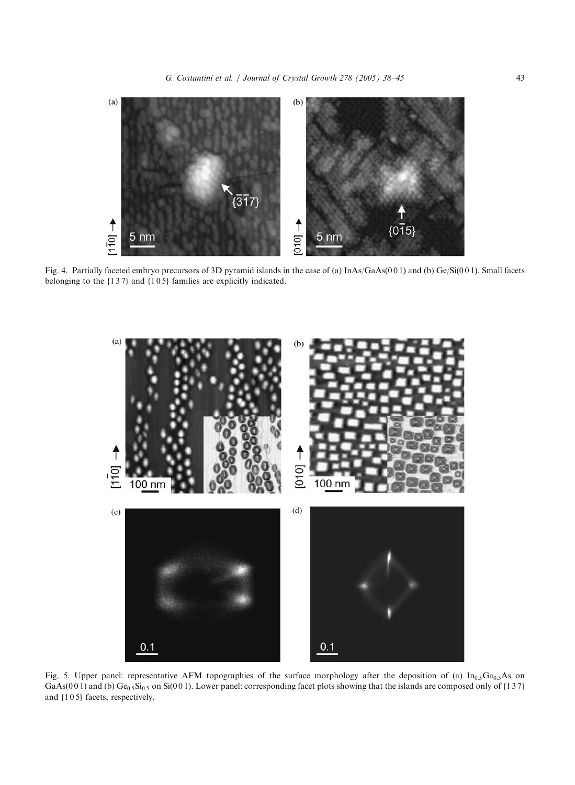G. Costantini et al. / Journal of Crystal Growth 278 (2005) 38–45 43

<span id="page-5-0"></span>

Fig. 4. Partially faceted embryo precursors of 3D pyramid islands in the case of (a) InAs/GaAs(0 0 1) and (b) Ge/Si(0 0 1). Small facets belonging to the {137} and {105} families are explicitly indicated.



Fig. 5. Upper panel: representative AFM topographies of the surface morphology after the deposition of (a)  $In_{0.5}Ga_{0.5}As$  on GaAs(001) and (b)  $Ge_{0.5}Si_{0.5}$  on Si(001). Lower panel: corresponding facet plots showing that the islands are composed only of {137} and  ${105}$  facets, respectively.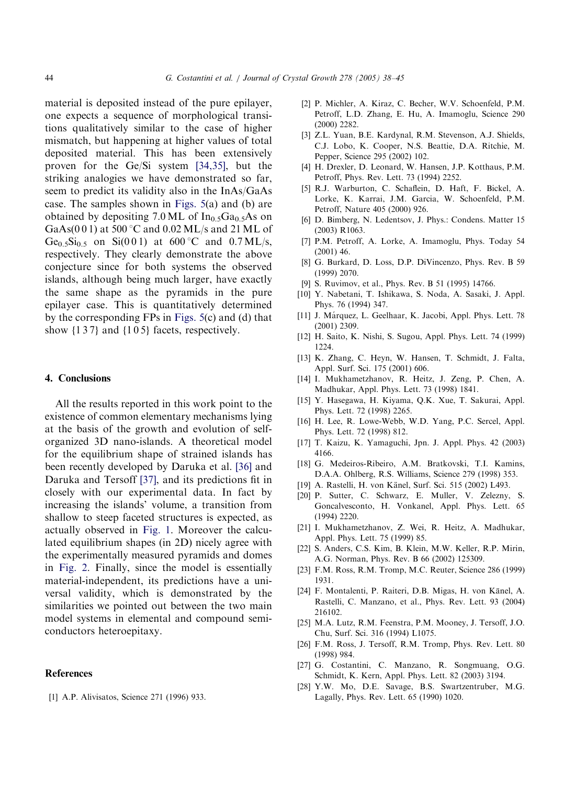<span id="page-6-0"></span>material is deposited instead of the pure epilayer, one expects a sequence of morphological transitions qualitatively similar to the case of higher mismatch, but happening at higher values of total deposited material. This has been extensively proven for the Ge/Si system [\[34,35\],](#page-7-0) but the striking analogies we have demonstrated so far, seem to predict its validity also in the InAs/GaAs case. The samples shown in [Figs. 5\(](#page-5-0)a) and (b) are obtained by depositing 7.0 ML of  $In_0$ ,  $Ga_0$ ,  $As$  on GaAs(0 0 1) at 500  $^{\circ}$ C and 0.02 ML/s and 21 ML of Ge<sub>0.5</sub>Si<sub>0.5</sub> on Si(0 0 1) at 600 °C and 0.7 ML/s, respectively. They clearly demonstrate the above conjecture since for both systems the observed islands, although being much larger, have exactly the same shape as the pyramids in the pure epilayer case. This is quantitatively determined by the corresponding FPs in [Figs. 5\(](#page-5-0)c) and (d) that show  $\{1\,3\,7\}$  and  $\{1\,0\,5\}$  facets, respectively.

### 4. Conclusions

All the results reported in this work point to the existence of common elementary mechanisms lying at the basis of the growth and evolution of selforganized 3D nano-islands. Atheoretical model for the equilibrium shape of strained islands has been recently developed by Daruka et al. [\[36\]](#page-7-0) and Daruka and Tersoff [\[37\],](#page-7-0) and its predictions fit in closely with our experimental data. In fact by increasing the islands' volume, a transition from shallow to steep faceted structures is expected, as actually observed in [Fig. 1](#page-2-0). Moreover the calculated equilibrium shapes (in 2D) nicely agree with the experimentally measured pyramids and domes in [Fig. 2.](#page-3-0) Finally, since the model is essentially material-independent, its predictions have a universal validity, which is demonstrated by the similarities we pointed out between the two main model systems in elemental and compound semiconductors heteroepitaxy.

# **References**

[1] A.P. Alivisatos, Science 271 (1996) 933.

- [2] P. Michler, A. Kiraz, C. Becher, W.V. Schoenfeld, P.M. Petroff, L.D. Zhang, E. Hu, A. Imamoglu, Science 290 (2000) 2282.
- [3] Z.L. Yuan, B.E. Kardynal, R.M. Stevenson, A.J. Shields, C.J. Lobo, K. Cooper, N.S. Beattie, D.A. Ritchie, M. Pepper, Science 295 (2002) 102.
- [4] H. Drexler, D. Leonard, W. Hansen, J.P. Kotthaus, P.M. Petroff, Phys. Rev. Lett. 73 (1994) 2252.
- [5] R.J. Warburton, C. Schaflein, D. Haft, F. Bickel, A. Lorke, K. Karrai, J.M. Garcia, W. Schoenfeld, P.M. Petroff, Nature 405 (2000) 926.
- [6] D. Bimberg, N. Ledentsov, J. Phys.: Condens. Matter 15 (2003) R1063.
- [7] P.M. Petroff, A. Lorke, A. Imamoglu, Phys. Today 54 (2001) 46.
- [8] G. Burkard, D. Loss, D.P. DiVincenzo, Phys. Rev. B 59 (1999) 2070.
- [9] S. Ruvimov, et al., Phys. Rev. B 51 (1995) 14766.
- [10] Y. Nabetani, T. Ishikawa, S. Noda, A. Sasaki, J. Appl. Phys. 76 (1994) 347.
- [11] J. Márquez, L. Geelhaar, K. Jacobi, Appl. Phys. Lett. 78 (2001) 2309.
- [12] H. Saito, K. Nishi, S. Sugou, Appl. Phys. Lett. 74 (1999) 1224.
- [13] K. Zhang, C. Heyn, W. Hansen, T. Schmidt, J. Falta, Appl. Surf. Sci. 175 (2001) 606.
- [14] I. Mukhametzhanov, R. Heitz, J. Zeng, P. Chen, A. Madhukar, Appl. Phys. Lett. 73 (1998) 1841.
- [15] Y. Hasegawa, H. Kiyama, Q.K. Xue, T. Sakurai, Appl. Phys. Lett. 72 (1998) 2265.
- [16] H. Lee, R. Lowe-Webb, W.D. Yang, P.C. Sercel, Appl. Phys. Lett. 72 (1998) 812.
- [17] T. Kaizu, K. Yamaguchi, Jpn. J. Appl. Phys. 42 (2003) 4166.
- [18] G. Medeiros-Ribeiro, A.M. Bratkovski, T.I. Kamins, D.A.A. Ohlberg, R.S. Williams, Science 279 (1998) 353.
- [19] A. Rastelli, H. von Känel, Surf. Sci. 515 (2002) L493.
- [20] P. Sutter, C. Schwarz, E. Muller, V. Zelezny, S. Goncalvesconto, H. Vonkanel, Appl. Phys. Lett. 65 (1994) 2220.
- [21] I. Mukhametzhanov, Z. Wei, R. Heitz, A. Madhukar, Appl. Phys. Lett. 75 (1999) 85.
- [22] S. Anders, C.S. Kim, B. Klein, M.W. Keller, R.P. Mirin, A.G. Norman, Phys. Rev. B 66 (2002) 125309.
- [23] F.M. Ross, R.M. Tromp, M.C. Reuter, Science 286 (1999) 1931.
- [24] F. Montalenti, P. Raiteri, D.B. Migas, H. von Känel, A. Rastelli, C. Manzano, et al., Phys. Rev. Lett. 93 (2004) 216102.
- [25] M.A. Lutz, R.M. Feenstra, P.M. Mooney, J. Tersoff, J.O. Chu, Surf. Sci. 316 (1994) L1075.
- [26] F.M. Ross, J. Tersoff, R.M. Tromp, Phys. Rev. Lett. 80 (1998) 984.
- [27] G. Costantini, C. Manzano, R. Songmuang, O.G. Schmidt, K. Kern, Appl. Phys. Lett. 82 (2003) 3194.
- [28] Y.W. Mo, D.E. Savage, B.S. Swartzentruber, M.G. Lagally, Phys. Rev. Lett. 65 (1990) 1020.